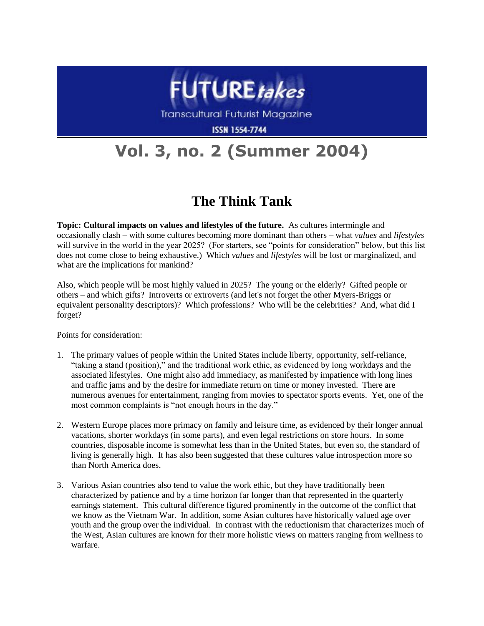

**Transcultural Futurist Magazine** 

**ISSN 1554-7744** 

## **Vol. 3, no. 2 (Summer 2004)**

## **The Think Tank**

**Topic: Cultural impacts on values and lifestyles of the future.** As cultures intermingle and occasionally clash – with some cultures becoming more dominant than others – what *values* and *lifestyles* will survive in the world in the year 2025? (For starters, see "points for consideration" below, but this list does not come close to being exhaustive.) Which *values* and *lifestyles* will be lost or marginalized, and what are the implications for mankind?

Also, which people will be most highly valued in 2025? The young or the elderly? Gifted people or others – and which gifts? Introverts or extroverts (and let's not forget the other Myers-Briggs or equivalent personality descriptors)? Which professions? Who will be the celebrities? And, what did I forget?

Points for consideration:

- 1. The primary values of people within the United States include liberty, opportunity, self-reliance, "taking a stand (position)," and the traditional work ethic, as evidenced by long workdays and the associated lifestyles. One might also add immediacy, as manifested by impatience with long lines and traffic jams and by the desire for immediate return on time or money invested. There are numerous avenues for entertainment, ranging from movies to spectator sports events. Yet, one of the most common complaints is "not enough hours in the day."
- 2. Western Europe places more primacy on family and leisure time, as evidenced by their longer annual vacations, shorter workdays (in some parts), and even legal restrictions on store hours. In some countries, disposable income is somewhat less than in the United States, but even so, the standard of living is generally high. It has also been suggested that these cultures value introspection more so than North America does.
- 3. Various Asian countries also tend to value the work ethic, but they have traditionally been characterized by patience and by a time horizon far longer than that represented in the quarterly earnings statement. This cultural difference figured prominently in the outcome of the conflict that we know as the Vietnam War. In addition, some Asian cultures have historically valued age over youth and the group over the individual. In contrast with the reductionism that characterizes much of the West, Asian cultures are known for their more holistic views on matters ranging from wellness to warfare.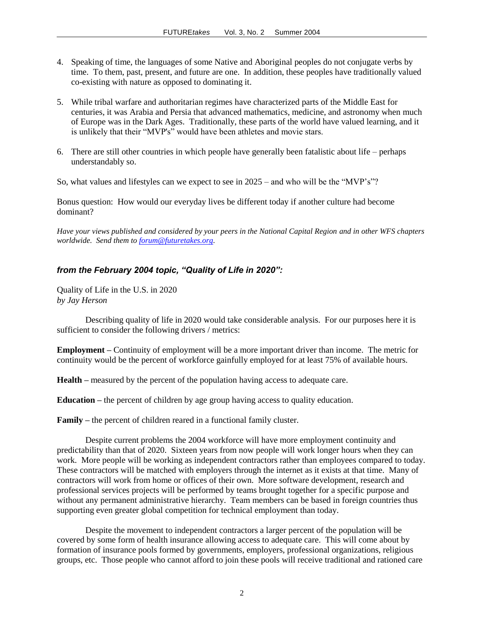- 4. Speaking of time, the languages of some Native and Aboriginal peoples do not conjugate verbs by time. To them, past, present, and future are one. In addition, these peoples have traditionally valued co-existing with nature as opposed to dominating it.
- 5. While tribal warfare and authoritarian regimes have characterized parts of the Middle East for centuries, it was Arabia and Persia that advanced mathematics, medicine, and astronomy when much of Europe was in the Dark Ages. Traditionally, these parts of the world have valued learning, and it is unlikely that their "MVP's" would have been athletes and movie stars.
- 6. There are still other countries in which people have generally been fatalistic about life perhaps understandably so.

So, what values and lifestyles can we expect to see in 2025 – and who will be the "MVP's"?

Bonus question: How would our everyday lives be different today if another culture had become dominant?

*Have your views published and considered by your peers in the National Capital Region and in other WFS chapters worldwide. Send them to [forum@futuretakes.org.](mailto:forum@futuretakes.org)* 

## *from the February 2004 topic, "Quality of Life in 2020":*

Quality of Life in the U.S. in 2020 *by Jay Herson*

Describing quality of life in 2020 would take considerable analysis. For our purposes here it is sufficient to consider the following drivers / metrics:

**Employment –** Continuity of employment will be a more important driver than income. The metric for continuity would be the percent of workforce gainfully employed for at least 75% of available hours.

**Health –** measured by the percent of the population having access to adequate care.

**Education –** the percent of children by age group having access to quality education.

**Family –** the percent of children reared in a functional family cluster.

Despite current problems the 2004 workforce will have more employment continuity and predictability than that of 2020. Sixteen years from now people will work longer hours when they can work. More people will be working as independent contractors rather than employees compared to today. These contractors will be matched with employers through the internet as it exists at that time. Many of contractors will work from home or offices of their own. More software development, research and professional services projects will be performed by teams brought together for a specific purpose and without any permanent administrative hierarchy. Team members can be based in foreign countries thus supporting even greater global competition for technical employment than today.

Despite the movement to independent contractors a larger percent of the population will be covered by some form of health insurance allowing access to adequate care. This will come about by formation of insurance pools formed by governments, employers, professional organizations, religious groups, etc. Those people who cannot afford to join these pools will receive traditional and rationed care